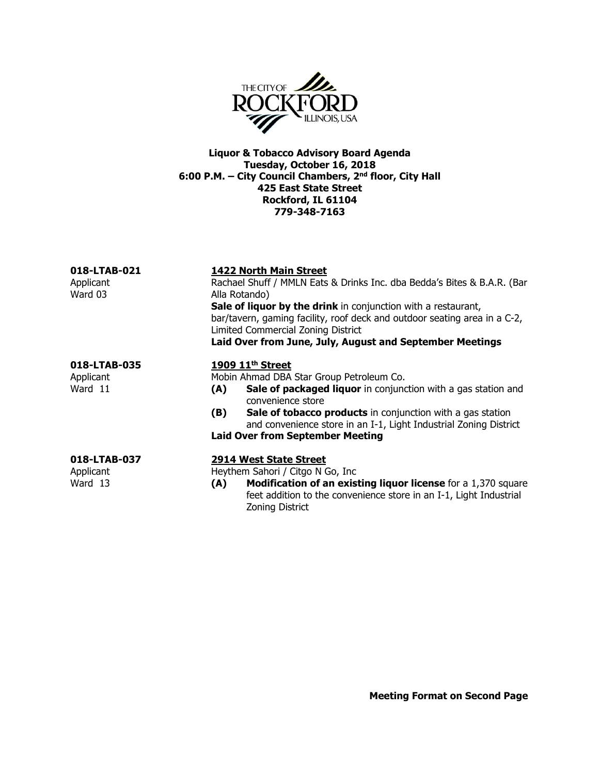

Liquor & Tobacco Advisory Board Agenda Tuesday, October 16, 2018 6:00 P.M. – City Council Chambers, 2nd floor, City Hall 425 East State Street Rockford, IL 61104 779-348-7163

| 018-LTAB-021         | <b>1422 North Main Street</b>                                                                                                                                                    |
|----------------------|----------------------------------------------------------------------------------------------------------------------------------------------------------------------------------|
| Applicant<br>Ward 03 | Rachael Shuff / MMLN Eats & Drinks Inc. dba Bedda's Bites & B.A.R. (Bar<br>Alla Rotando)                                                                                         |
|                      | Sale of liquor by the drink in conjunction with a restaurant,<br>bar/tavern, gaming facility, roof deck and outdoor seating area in a C-2,<br>Limited Commercial Zoning District |
|                      | Laid Over from June, July, August and September Meetings                                                                                                                         |
| 018-LTAB-035         | 1909 11 <sup>th</sup> Street                                                                                                                                                     |
| Applicant            | Mobin Ahmad DBA Star Group Petroleum Co.                                                                                                                                         |
| Ward 11              | Sale of packaged liquor in conjunction with a gas station and<br>(A)<br>convenience store                                                                                        |
|                      | Sale of tobacco products in conjunction with a gas station<br>(B)<br>and convenience store in an I-1, Light Industrial Zoning District                                           |
|                      | <b>Laid Over from September Meeting</b>                                                                                                                                          |
| 018-LTAB-037         | <b>2914 West State Street</b>                                                                                                                                                    |
| Applicant            | Heythem Sahori / Citgo N Go, Inc.                                                                                                                                                |
| Ward 13              | <b>Modification of an existing liquor license</b> for a 1,370 square<br>(A)<br>feet addition to the convenience store in an I-1, Light Industrial                                |

Zoning District

Meeting Format on Second Page